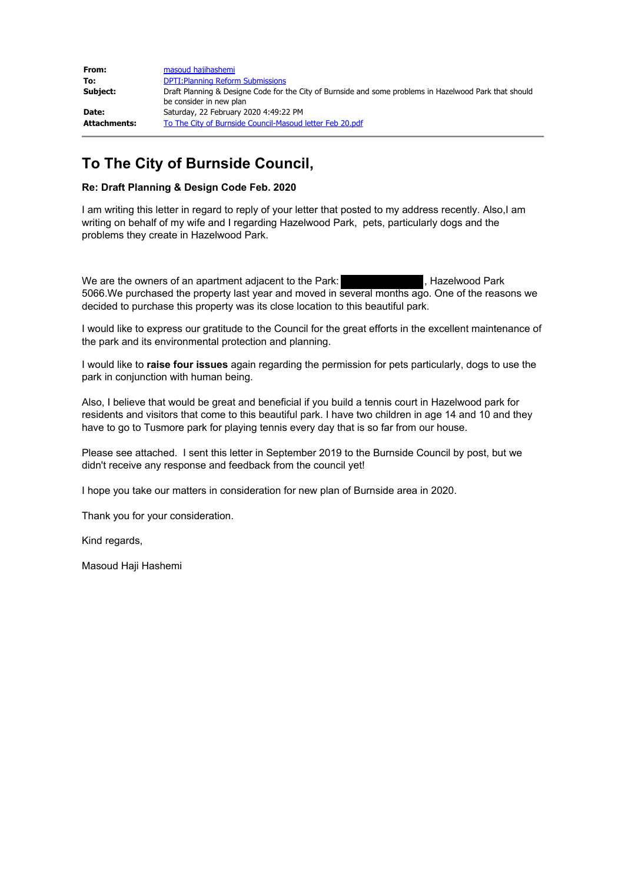| From:        | masoud hajihashemi                                                                                                                |
|--------------|-----------------------------------------------------------------------------------------------------------------------------------|
| To:          | <b>DPTI: Planning Reform Submissions</b>                                                                                          |
| Subject:     | Draft Planning & Designe Code for the City of Burnside and some problems in Hazelwood Park that should<br>be consider in new plan |
| Date:        | Saturday, 22 February 2020 4:49:22 PM                                                                                             |
| Attachments: | To The City of Burnside Council-Masoud letter Feb 20.pdf                                                                          |

## **To The City of Burnside Council,**

#### **Re: Draft Planning & Design Code Feb. 2020**

I am writing this letter in regard to reply of your letter that posted to my address recently. Also,I am writing on behalf of my wife and I regarding Hazelwood Park, pets, particularly dogs and the problems they create in Hazelwood Park.

We are the owners of an apartment adjacent to the Park: , Hazelwood Park 5066.We purchased the property last year and moved in several months ago. One of the reasons we decided to purchase this property was its close location to this beautiful park.

I would like to express our gratitude to the Council for the great efforts in the excellent maintenance of the park and its environmental protection and planning.

I would like to **raise four issues** again regarding the permission for pets particularly, dogs to use the park in conjunction with human being.

Also, I believe that would be great and beneficial if you build a tennis court in Hazelwood park for residents and visitors that come to this beautiful park. I have two children in age 14 and 10 and they have to go to Tusmore park for playing tennis every day that is so far from our house.

Please see attached. I sent this letter in September 2019 to the Burnside Council by post, but we didn't receive any response and feedback from the council yet!

I hope you take our matters in consideration for new plan of Burnside area in 2020.

Thank you for your consideration.

Kind regards,

Masoud Haji Hashemi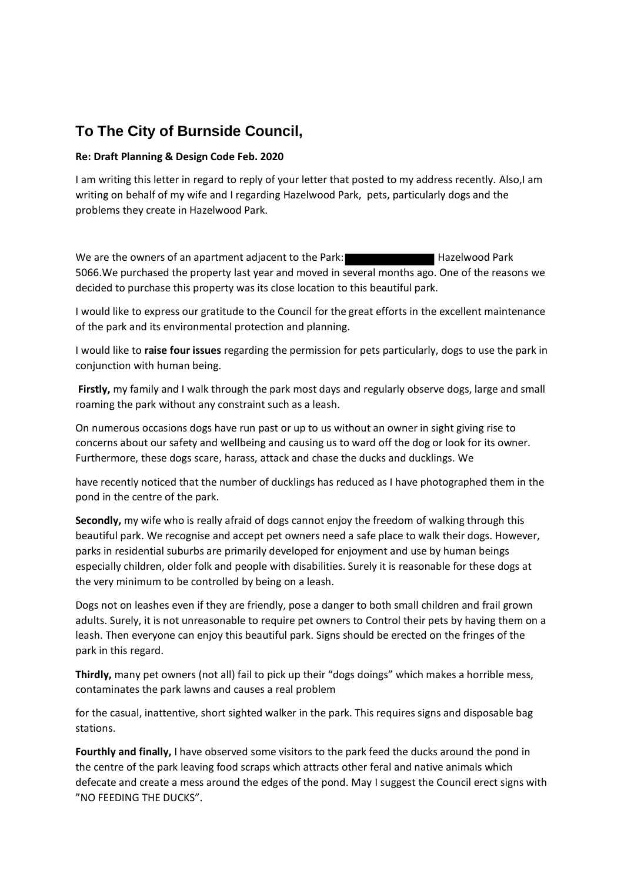# **To The City of Burnside Council,**

### **Re: Draft Planning & Design Code Feb. 2020**

I am writing this letter in regard to reply of your letter that posted to my address recently. Also,I am writing on behalf of my wife and I regarding Hazelwood Park, pets, particularly dogs and the problems they create in Hazelwood Park.

We are the owners of an apartment adjacent to the Park: Hazelwood Park 5066.We purchased the property last year and moved in several months ago. One of the reasons we decided to purchase this property was its close location to this beautiful park.

I would like to express our gratitude to the Council for the great efforts in the excellent maintenance of the park and its environmental protection and planning.

I would like to **raise four issues** regarding the permission for pets particularly, dogs to use the park in conjunction with human being.

**Firstly,** my family and I walk through the park most days and regularly observe dogs, large and small roaming the park without any constraint such as a leash.

On numerous occasions dogs have run past or up to us without an owner in sight giving rise to concerns about our safety and wellbeing and causing us to ward off the dog or look for its owner. Furthermore, these dogs scare, harass, attack and chase the ducks and ducklings. We

have recently noticed that the number of ducklings has reduced as I have photographed them in the pond in the centre of the park.

**Secondly,** my wife who is really afraid of dogs cannot enjoy the freedom of walking through this beautiful park. We recognise and accept pet owners need a safe place to walk their dogs. However, parks in residential suburbs are primarily developed for enjoyment and use by human beings especially children, older folk and people with disabilities. Surely it is reasonable for these dogs at the very minimum to be controlled by being on a leash.

Dogs not on leashes even if they are friendly, pose a danger to both small children and frail grown adults. Surely, it is not unreasonable to require pet owners to Control their pets by having them on a leash. Then everyone can enjoy this beautiful park. Signs should be erected on the fringes of the park in this regard.

**Thirdly,** many pet owners (not all) fail to pick up their "dogs doings" which makes a horrible mess, contaminates the park lawns and causes a real problem

for the casual, inattentive, short sighted walker in the park. This requires signs and disposable bag stations.

**Fourthly and finally,** I have observed some visitors to the park feed the ducks around the pond in the centre of the park leaving food scraps which attracts other feral and native animals which defecate and create a mess around the edges of the pond. May I suggest the Council erect signs with "NO FEEDING THE DUCKS".